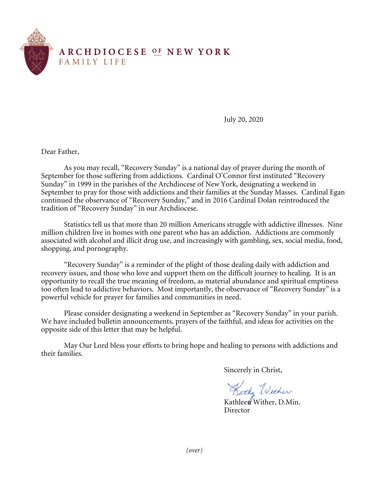

July 20, 2020

Dear Father,

As you may recall, "Recovery Sunday" is a national day of prayer during the month of September for those suffering from addictions. Cardinal O'Connor first instituted "Recovery Sunday" in 1999 in the parishes of the Archdiocese of New York, designating a weekend in September to pray for those with addictions and their families at the Sunday Masses. Cardinal Egan continued the observance of "Recovery Sunday," and in 2016 Cardinal Dolan reintroduced the tradition of "Recovery Sunday" in our Archdiocese.

 Statistics tell us that more than 20 million Americans struggle with addictive illnesses. Nine million children live in homes with one parent who has an addiction. Addictions are commonly associated with alcohol and illicit drug use, and increasingly with gambling, sex, social media, food, shopping, and pornography.

"Recovery Sunday" is a reminder of the plight of those dealing daily with addiction and recovery issues, and those who love and support them on the difficult journey to healing. It is an opportunity to recall the true meaning of freedom, as material abundance and spiritual emptiness too often lead to addictive behaviors. Most importantly, the observance of "Recovery Sunday" is a powerful vehicle for prayer for families and communities in need.

Please consider designating a weekend in September as "Recovery Sunday" in your parish. We have included bulletin announcements, prayers of the faithful, and ideas for activities on the opposite side of this letter that may be helpful.

May Our Lord bless your efforts to bring hope and healing to persons with addictions and their families.

Sincerely in Christ,

Kathy Wither

Kathleen Wither, D.Min. **Director** 

*(over)*